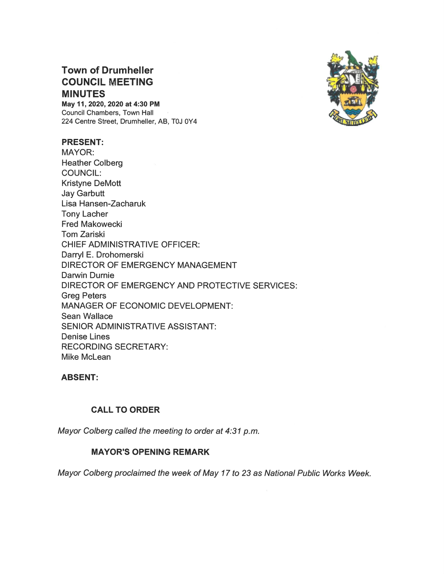# Town of Drumheller COUNCIL MEETING **MINUTES**

May 11, 2020, 2020 at 4:30 PM Council Chambers, Town Hall 224 Centre Street, Drumheller, AB, TOJ OY4

#### PRESENT:

MAYOR: Heather Colberg COUNCIL: Kristyne DeMott Jay Garbutt Lisa Hansen-Zacharuk Tony Lacher Fred Makowecki Tom Zariski CHIEF ADMINISTRATIVE OFFICER: Darryl E. Drohomerski DIRECTOR OF EMERGENCY MANAGEMENT Darwin Durnie DIRECTOR OF EMERGENCY AND PROTECTIVE SERVICES: Greg Peters MANAGER OF ECONOMIC DEVELOPMENT: Sean Wallace SENIOR ADMINISTRATIVE ASSISTANT: Denise Lines RECORDING SECRETARY: Mike McLean

#### ABSENT:

## CALL TO ORDER

Mayor Colberg called the meeting to order at 4:31 p.m.

## MAYOR'S OPENING

Mayor Colberg proclaimed the week of May 17 to 23 as National Public Works Week.

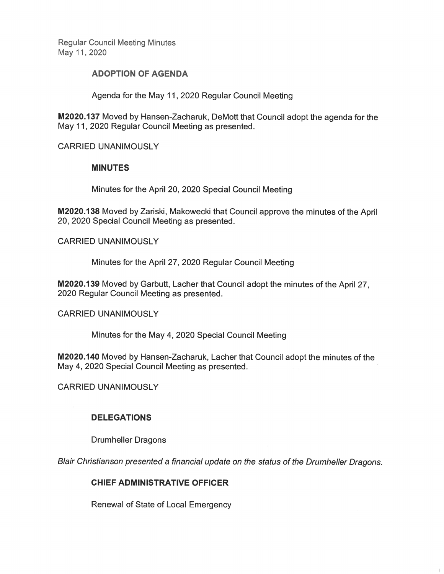**Regular Council Meeting Minutes** May 11, 2020

#### **ADOPTION OF AGENDA**

Agenda for the May 11, 2020 Regular Council Meeting

M2020.137 Moved by Hansen-Zacharuk, DeMott that Council adopt the agenda for the May 11, 2020 Regular Council Meeting as presented.

**CARRIED UNANIMOUSLY** 

## **MINUTES**

Minutes for the April 20, 2020 Special Council Meeting

M2020.138 Moved by Zariski, Makowecki that Council approve the minutes of the April 20, 2020 Special Council Meeting as presented.

**CARRIED UNANIMOUSLY** 

Minutes for the April 27, 2020 Regular Council Meeting

M2020.139 Moved by Garbutt, Lacher that Council adopt the minutes of the April 27. 2020 Regular Council Meeting as presented.

**CARRIED UNANIMOUSLY** 

Minutes for the May 4, 2020 Special Council Meeting

M2020.140 Moved by Hansen-Zacharuk, Lacher that Council adopt the minutes of the May 4, 2020 Special Council Meeting as presented.

**CARRIED UNANIMOUSLY** 

## **DELEGATIONS**

**Drumheller Dragons** 

Blair Christianson presented a financial update on the status of the Drumheller Dragons.

## **CHIEF ADMINISTRATIVE OFFICER**

**Renewal of State of Local Emergency**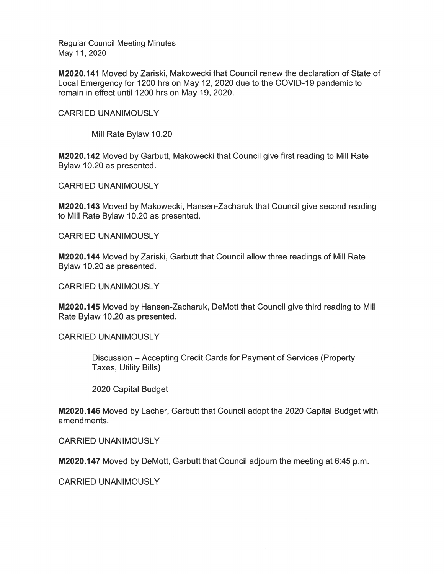**Regular Council Meeting Minutes** May 11, 2020

M2020.141 Moved by Zariski, Makowecki that Council renew the declaration of State of Local Emergency for 1200 hrs on May 12, 2020 due to the COVID-19 pandemic to remain in effect until 1200 hrs on May 19, 2020.

**CARRIED UNANIMOUSLY** 

Mill Rate Bylaw 10.20

M2020.142 Moved by Garbutt, Makowecki that Council give first reading to Mill Rate Bylaw 10.20 as presented.

**CARRIED UNANIMOUSLY** 

**M2020.143** Moved by Makowecki, Hansen-Zacharuk that Council give second reading to Mill Rate Bylaw 10.20 as presented.

**CARRIED UNANIMOUSLY** 

M2020.144 Moved by Zariski, Garbutt that Council allow three readings of Mill Rate Bylaw 10.20 as presented.

**CARRIED UNANIMOUSLY** 

M2020.145 Moved by Hansen-Zacharuk, DeMott that Council give third reading to Mill Rate Bylaw 10.20 as presented.

**CARRIED UNANIMOUSLY** 

Discussion – Accepting Credit Cards for Payment of Services (Property **Taxes, Utility Bills)** 

2020 Capital Budget

M2020.146 Moved by Lacher, Garbutt that Council adopt the 2020 Capital Budget with amendments.

**CARRIED UNANIMOUSLY** 

**M2020.147** Moved by DeMott, Garbutt that Council adjourn the meeting at 6:45 p.m.

**CARRIED UNANIMOUSLY**